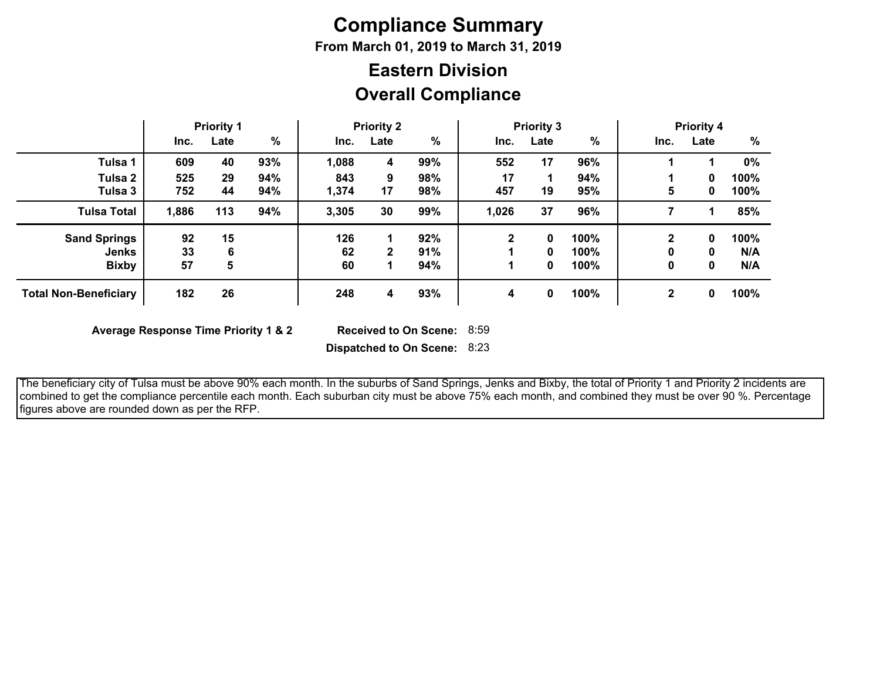# **Compliance Summary**

**From March 01, 2019 to March 31, 2019**

## **Overall Compliance Eastern Division**

|                              | <b>Priority 1</b> |      | <b>Priority 2</b> |       | <b>Priority 3</b> |     |             | <b>Priority 4</b> |      |              |      |      |
|------------------------------|-------------------|------|-------------------|-------|-------------------|-----|-------------|-------------------|------|--------------|------|------|
|                              | Inc.              | Late | %                 | Inc.  | Late              | %   | Inc.        | Late              | %    | Inc.         | Late | %    |
| Tulsa 1                      | 609               | 40   | 93%               | 1,088 | 4                 | 99% | 552         | 17                | 96%  |              |      | 0%   |
| Tulsa 2                      | 525               | 29   | 94%               | 843   | 9                 | 98% | 17          |                   | 94%  |              | 0    | 100% |
| Tulsa 3                      | 752               | 44   | 94%               | 1,374 | 17                | 98% | 457         | 19                | 95%  | 5            | 0    | 100% |
| <b>Tulsa Total</b>           | 1,886             | 113  | 94%               | 3,305 | 30                | 99% | 1,026       | 37                | 96%  |              | 1    | 85%  |
| <b>Sand Springs</b>          | 92                | 15   |                   | 126   |                   | 92% | $\mathbf 2$ | 0                 | 100% | $\mathbf{2}$ | 0    | 100% |
| <b>Jenks</b>                 | 33                | 6    |                   | 62    | 2                 | 91% |             | 0                 | 100% | 0            | 0    | N/A  |
| <b>Bixby</b>                 | 57                | 5    |                   | 60    |                   | 94% |             | 0                 | 100% | 0            | 0    | N/A  |
| <b>Total Non-Beneficiary</b> | 182               | 26   |                   | 248   | 4                 | 93% | 4           | 0                 | 100% | $\mathbf 2$  | 0    | 100% |

**Average Response Time Priority 1 & 2** 

Received to On Scene: 8:59

**Dispatched to On Scene:** 8:23

 The beneficiary city of Tulsa must be above 90% each month. In the suburbs of Sand Springs, Jenks and Bixby, the total of Priority 1 and Priority 2 incidents are combined to get the compliance percentile each month. Each suburban city must be above 75% each month, and combined they must be over 90 %. Percentage figures above are rounded down as per the RFP.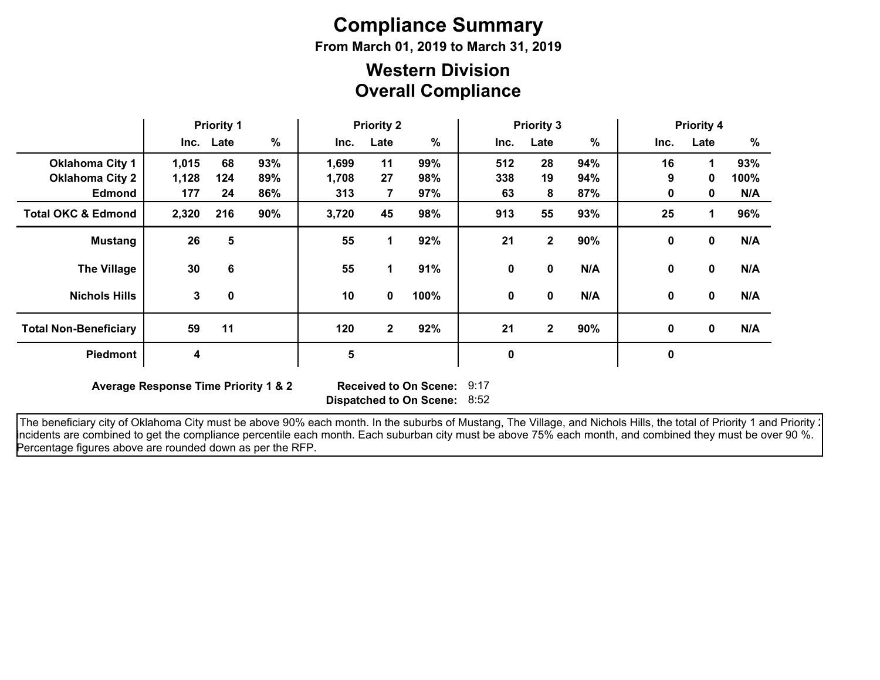# **Compliance Summary**

**From March 01, 2019 to March 31, 2019**

### **Overall Compliance Western Division**

|                               | <b>Priority 1</b> |             | <b>Priority 2</b> |       |              | <b>Priority 3</b> |      |              |      | <b>Priority 4</b> |              |      |
|-------------------------------|-------------------|-------------|-------------------|-------|--------------|-------------------|------|--------------|------|-------------------|--------------|------|
|                               |                   | Inc. Late   | $\%$              | Inc.  | Late         | %                 | Inc. | Late         | $\%$ | Inc.              | Late         | %    |
| <b>Oklahoma City 1</b>        | 1,015             | 68          | 93%               | 1,699 | 11           | 99%               | 512  | 28           | 94%  | 16                | 1            | 93%  |
| <b>Oklahoma City 2</b>        | 1,128             | 124         | 89%               | 1,708 | 27           | 98%               | 338  | 19           | 94%  | 9                 | $\mathbf{0}$ | 100% |
| <b>Edmond</b>                 | 177               | 24          | 86%               | 313   | 7            | 97%               | 63   | 8            | 87%  | 0                 | 0            | N/A  |
| <b>Total OKC &amp; Edmond</b> | 2,320             | 216         | 90%               | 3,720 | 45           | 98%               | 913  | 55           | 93%  | 25                | 1            | 96%  |
| <b>Mustang</b>                | 26                | 5           |                   | 55    | 1            | 92%               | 21   | $\mathbf{2}$ | 90%  | 0                 | $\mathbf{0}$ | N/A  |
| <b>The Village</b>            | 30                | 6           |                   | 55    | 1.           | 91%               | 0    | 0            | N/A  | 0                 | $\mathbf 0$  | N/A  |
| <b>Nichols Hills</b>          | 3                 | $\mathbf 0$ |                   | 10    | 0            | 100%              | 0    | 0            | N/A  | 0                 | $\mathbf 0$  | N/A  |
| <b>Total Non-Beneficiary</b>  | 59                | 11          |                   | 120   | $\mathbf{2}$ | 92%               | 21   | $\mathbf{2}$ | 90%  | $\mathbf{0}$      | $\mathbf 0$  | N/A  |
| <b>Piedmont</b>               | 4                 |             |                   | 5     |              |                   | 0    |              |      | $\mathbf 0$       |              |      |

**Average Response Time Priority 1 & 2** 

**Dispatched to On Scene:** 8:52 Received to On Scene: 9:17

The beneficiary city of Oklahoma City must be above 90% each month. In the suburbs of Mustang, The Village, and Nichols Hills, the total of Priority 1 and Priority : incidents are combined to get the compliance percentile each month. Each suburban city must be above 75% each month, and combined they must be over 90 %. Percentage figures above are rounded down as per the RFP.